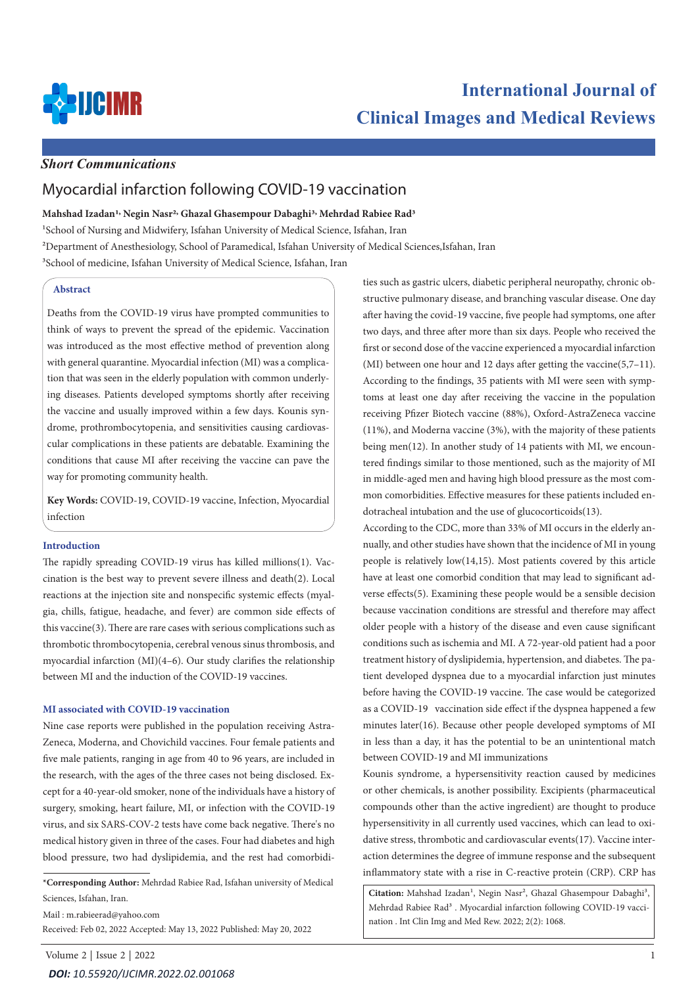

# **International Journal of Clinical Images and Medical Reviews**

### *Short Communications*

## Myocardial infarction following COVID-19 vaccination

#### **Mahshad Izadan1, Negin Nasr2, Ghazal Ghasempour Dabaghi3, Mehrdad Rabiee Rad3**

<sup>1</sup>School of Nursing and Midwifery, Isfahan University of Medical Science, Isfahan, Iran

2Department of Anesthesiology, School of Paramedical, Isfahan University of Medical Sciences,Isfahan, Iran

<sup>3</sup>School of medicine, Isfahan University of Medical Science, Isfahan, Iran

#### **Abstract**

Deaths from the COVID-19 virus have prompted communities to think of ways to prevent the spread of the epidemic. Vaccination was introduced as the most effective method of prevention along with general quarantine. Myocardial infection (MI) was a complication that was seen in the elderly population with common underlying diseases. Patients developed symptoms shortly after receiving the vaccine and usually improved within a few days. Kounis syndrome, prothrombocytopenia, and sensitivities causing cardiovascular complications in these patients are debatable. Examining the conditions that cause MI after receiving the vaccine can pave the way for promoting community health.

**Key Words:** COVID-19, COVID-19 vaccine, Infection, Myocardial infection

#### **Introduction**

The rapidly spreading COVID-19 virus has killed millions(1). Vaccination is the best way to prevent severe illness and death(2). Local reactions at the injection site and nonspecific systemic effects (myalgia, chills, fatigue, headache, and fever) are common side effects of this vaccine(3). There are rare cases with serious complications such as thrombotic thrombocytopenia, cerebral venous sinus thrombosis, and myocardial infarction (MI)(4–6). Our study clarifies the relationship between MI and the induction of the COVID-19 vaccines.

#### **MI associated with COVID-19 vaccination**

Nine case reports were published in the population receiving Astra-Zeneca, Moderna, and Chovichild vaccines. Four female patients and five male patients, ranging in age from 40 to 96 years, are included in the research, with the ages of the three cases not being disclosed. Except for a 40-year-old smoker, none of the individuals have a history of surgery, smoking, heart failure, MI, or infection with the COVID-19 virus, and six SARS-COV-2 tests have come back negative. There's no medical history given in three of the cases. Four had diabetes and high blood pressure, two had dyslipidemia, and the rest had comorbidi-

**\*Corresponding Author:** Mehrdad Rabiee Rad, Isfahan university of Medical Sciences, Isfahan, Iran.

Mail : m.rabieerad@yahoo.com Received: Feb 02, 2022 Accepted: May 13, 2022 Published: May 20, 2022

Volume 2 | Issue 2 | 2022 1 *DOI: [10.55920/IJCIMR.2022.02.001068](https://dx.doi.org/10.55920/IJCIMR.2022.02.001068)*

ties such as gastric ulcers, diabetic peripheral neuropathy, chronic obstructive pulmonary disease, and branching vascular disease. One day after having the covid-19 vaccine, five people had symptoms, one after two days, and three after more than six days. People who received the first or second dose of the vaccine experienced a myocardial infarction (MI) between one hour and 12 days after getting the vaccine(5,7–11). According to the findings, 35 patients with MI were seen with symptoms at least one day after receiving the vaccine in the population receiving Pfizer Biotech vaccine (88%), Oxford-AstraZeneca vaccine (11%), and Moderna vaccine (3%), with the majority of these patients being men(12). In another study of 14 patients with MI, we encountered findings similar to those mentioned, such as the majority of MI in middle-aged men and having high blood pressure as the most common comorbidities. Effective measures for these patients included endotracheal intubation and the use of glucocorticoids(13).

According to the CDC, more than 33% of MI occurs in the elderly annually, and other studies have shown that the incidence of MI in young people is relatively low(14,15). Most patients covered by this article have at least one comorbid condition that may lead to significant adverse effects(5). Examining these people would be a sensible decision because vaccination conditions are stressful and therefore may affect older people with a history of the disease and even cause significant conditions such as ischemia and MI. A 72-year-old patient had a poor treatment history of dyslipidemia, hypertension, and diabetes. The patient developed dyspnea due to a myocardial infarction just minutes before having the COVID-19 vaccine. The case would be categorized as a COVID-19 vaccination side effect if the dyspnea happened a few minutes later(16). Because other people developed symptoms of MI in less than a day, it has the potential to be an unintentional match between COVID-19 and MI immunizations

Kounis syndrome, a hypersensitivity reaction caused by medicines or other chemicals, is another possibility. Excipients (pharmaceutical compounds other than the active ingredient) are thought to produce hypersensitivity in all currently used vaccines, which can lead to oxidative stress, thrombotic and cardiovascular events(17). Vaccine interaction determines the degree of immune response and the subsequent inflammatory state with a rise in C-reactive protein (CRP). CRP has

Citation: Mahshad Izadan<sup>1</sup>, Negin Nasr<sup>2</sup>, Ghazal Ghasempour Dabaghi<sup>3</sup>, Mehrdad Rabiee Rad<sup>3</sup>. Myocardial infarction following COVID-19 vaccination . Int Clin Img and Med Rew. 2022; 2(2): 1068.